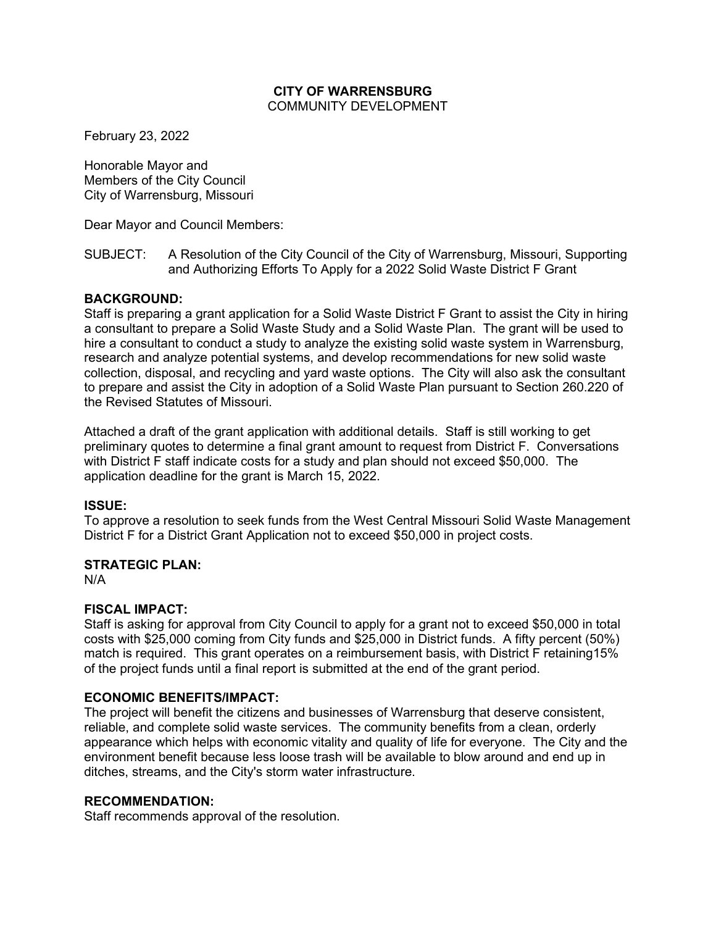#### **CITY OF WARRENSBURG** COMMUNITY DEVELOPMENT

February 23, 2022

Honorable Mayor and Members of the City Council City of Warrensburg, Missouri

Dear Mayor and Council Members:

SUBJECT: A Resolution of the City Council of the City of Warrensburg, Missouri, Supporting and Authorizing Efforts To Apply for a 2022 Solid Waste District F Grant

### **BACKGROUND:**

Staff is preparing a grant application for a Solid Waste District F Grant to assist the City in hiring a consultant to prepare a Solid Waste Study and a Solid Waste Plan. The grant will be used to hire a consultant to conduct a study to analyze the existing solid waste system in Warrensburg, research and analyze potential systems, and develop recommendations for new solid waste collection, disposal, and recycling and yard waste options. The City will also ask the consultant to prepare and assist the City in adoption of a Solid Waste Plan pursuant to Section 260.220 of the Revised Statutes of Missouri.

Attached a draft of the grant application with additional details. Staff is still working to get preliminary quotes to determine a final grant amount to request from District F. Conversations with District F staff indicate costs for a study and plan should not exceed \$50,000. The application deadline for the grant is March 15, 2022.

#### **ISSUE:**

To approve a resolution to seek funds from the West Central Missouri Solid Waste Management District F for a District Grant Application not to exceed \$50,000 in project costs.

#### **STRATEGIC PLAN:**

N/A

### **FISCAL IMPACT:**

Staff is asking for approval from City Council to apply for a grant not to exceed \$50,000 in total costs with \$25,000 coming from City funds and \$25,000 in District funds. A fifty percent (50%) match is required. This grant operates on a reimbursement basis, with District F retaining15% of the project funds until a final report is submitted at the end of the grant period.

#### **ECONOMIC BENEFITS/IMPACT:**

The project will benefit the citizens and businesses of Warrensburg that deserve consistent, reliable, and complete solid waste services. The community benefits from a clean, orderly appearance which helps with economic vitality and quality of life for everyone. The City and the environment benefit because less loose trash will be available to blow around and end up in ditches, streams, and the City's storm water infrastructure.

### **RECOMMENDATION:**

Staff recommends approval of the resolution.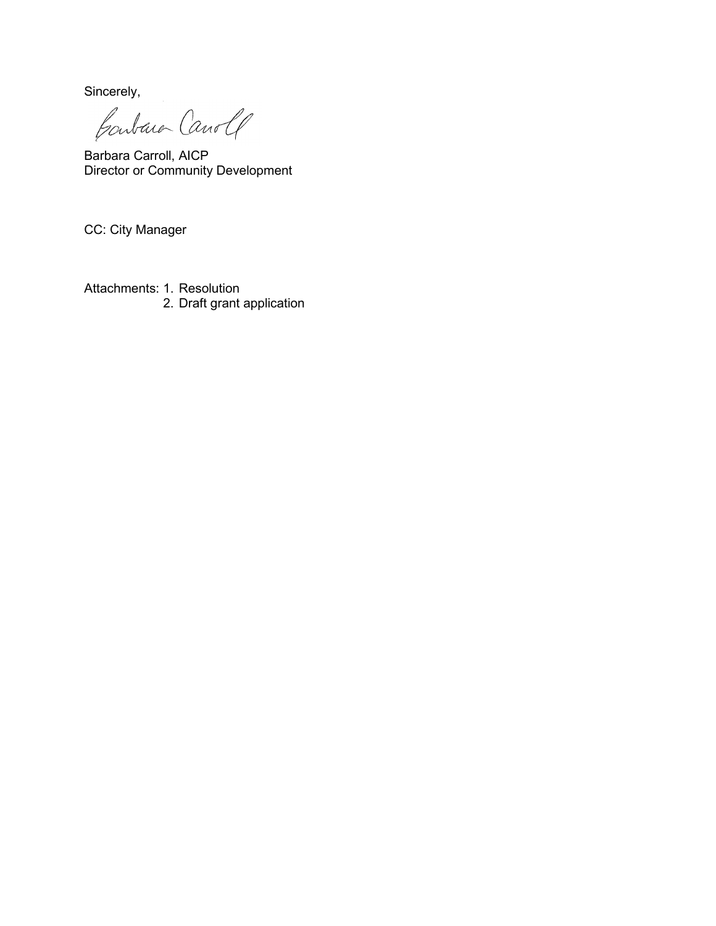Sincerely,

Contain Canole

Barbara Carroll, AICP Director or Community Development

CC: City Manager

Attachments: 1. Resolution 2. Draft grant application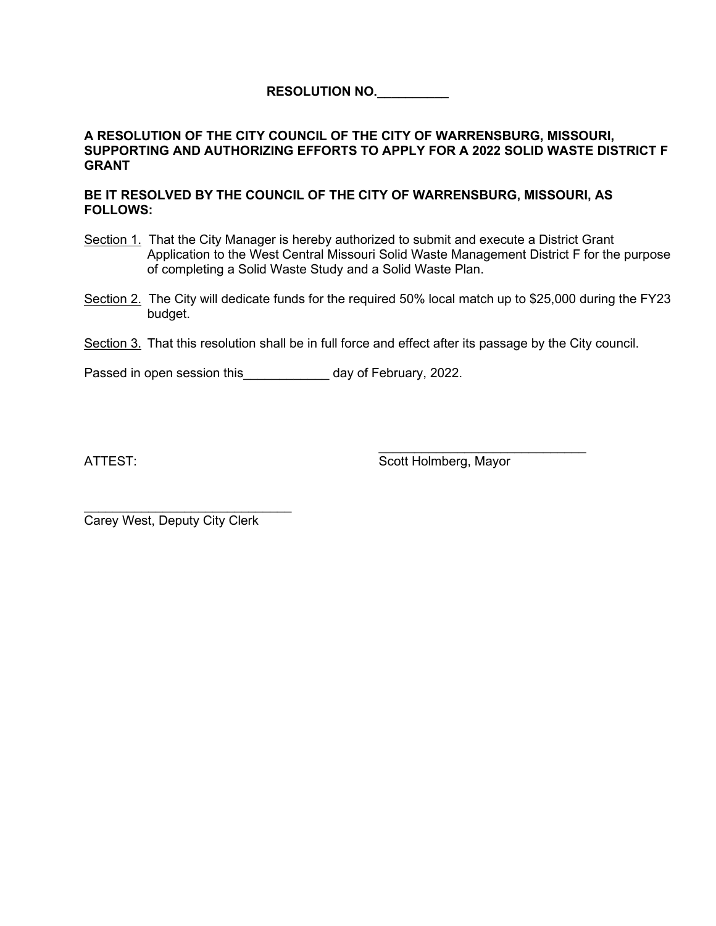**RESOLUTION NO.\_\_\_\_\_\_\_\_\_\_**

### **A RESOLUTION OF THE CITY COUNCIL OF THE CITY OF WARRENSBURG, MISSOURI, SUPPORTING AND AUTHORIZING EFFORTS TO APPLY FOR A 2022 SOLID WASTE DISTRICT F GRANT**

#### **BE IT RESOLVED BY THE COUNCIL OF THE CITY OF WARRENSBURG, MISSOURI, AS FOLLOWS:**

- Section 1. That the City Manager is hereby authorized to submit and execute a District Grant Application to the West Central Missouri Solid Waste Management District F for the purpose of completing a Solid Waste Study and a Solid Waste Plan.
- Section 2. The City will dedicate funds for the required 50% local match up to \$25,000 during the FY23 budget.
- Section 3. That this resolution shall be in full force and effect after its passage by the City council.

Passed in open session this Theorem 2022.

\_\_\_\_\_\_\_\_\_\_\_\_\_\_\_\_\_\_\_\_\_\_\_\_\_\_\_\_\_ ATTEST: Scott Holmberg, Mayor

\_\_\_\_\_\_\_\_\_\_\_\_\_\_\_\_\_\_\_\_\_\_\_\_\_\_\_\_\_ Carey West, Deputy City Clerk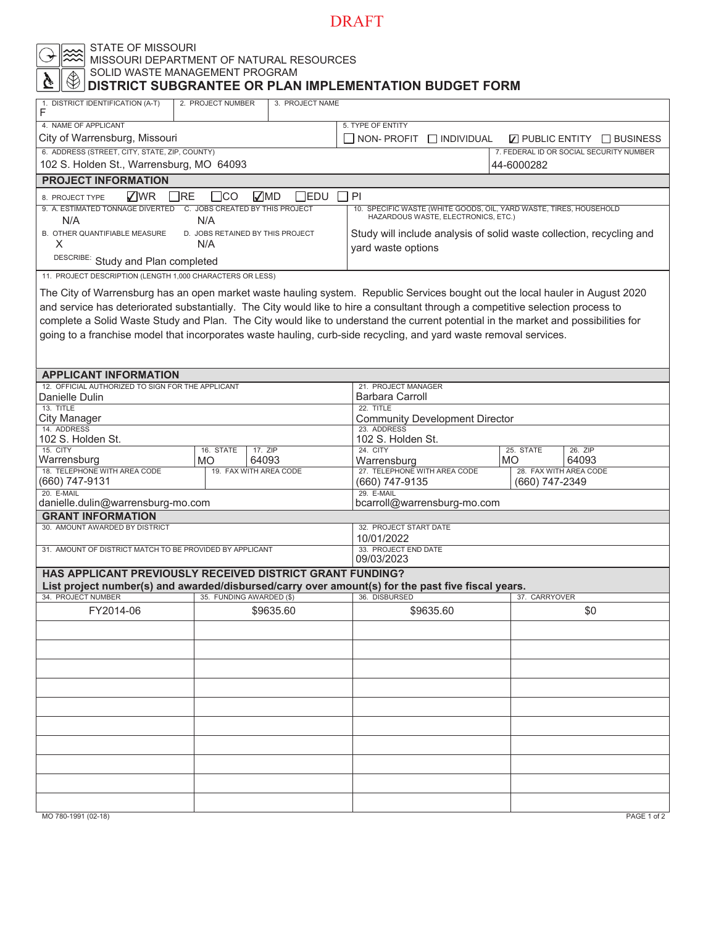#### STATE OF MISSOURI

MISSOURI DEPARTMENT OF NATURAL RESOURCES

#### SOLID WASTE MANAGEMENT PROGRAM  **DISTRICT SUBGRANTEE OR PLAN IMPLEMENTATION BUDGET FORM**

| 1. DISTRICT IDENTIFICATION (A-T)<br>F                                                                                              | 2. PROJECT NUMBER                            | 3. PROJECT NAME |                                               |                                                                                                                               |  |  |  |
|------------------------------------------------------------------------------------------------------------------------------------|----------------------------------------------|-----------------|-----------------------------------------------|-------------------------------------------------------------------------------------------------------------------------------|--|--|--|
| 4. NAME OF APPLICANT                                                                                                               |                                              |                 | 5. TYPE OF ENTITY                             |                                                                                                                               |  |  |  |
| City of Warrensburg, Missouri                                                                                                      |                                              |                 | NON-PROFIT INDIVIDUAL                         | $\nabla$ PUBLIC ENTITY $\Box$ BUSINESS                                                                                        |  |  |  |
| 6. ADDRESS (STREET, CITY, STATE, ZIP, COUNTY)                                                                                      |                                              |                 |                                               | 7. FEDERAL ID OR SOCIAL SECURITY NUMBER                                                                                       |  |  |  |
| 102 S. Holden St., Warrensburg, MO 64093                                                                                           |                                              |                 |                                               | 44-6000282                                                                                                                    |  |  |  |
| <b>PROJECT INFORMATION</b>                                                                                                         |                                              |                 |                                               |                                                                                                                               |  |  |  |
| √WR<br>1RE<br>8. PROJECT TYPE                                                                                                      | √MD<br>∃со                                   | $\exists$ EDU   | PI                                            |                                                                                                                               |  |  |  |
| 9. A. ESTIMATED TONNAGE DIVERTED C. JOBS CREATED BY THIS PROJECT<br>N/A                                                            | N/A                                          |                 | HAZARDOUS WASTE, ELECTRONICS, ETC.)           | 10. SPECIFIC WASTE (WHITE GOODS, OIL, YARD WASTE, TIRES, HOUSEHOLD                                                            |  |  |  |
| B. OTHER QUANTIFIABLE MEASURE                                                                                                      | D. JOBS RETAINED BY THIS PROJECT             |                 |                                               | Study will include analysis of solid waste collection, recycling and                                                          |  |  |  |
| х                                                                                                                                  | N/A                                          |                 | yard waste options                            |                                                                                                                               |  |  |  |
| DESCRIBE: Study and Plan completed                                                                                                 |                                              |                 |                                               |                                                                                                                               |  |  |  |
| 11. PROJECT DESCRIPTION (LENGTH 1,000 CHARACTERS OR LESS)                                                                          |                                              |                 |                                               |                                                                                                                               |  |  |  |
|                                                                                                                                    |                                              |                 |                                               | The City of Warrensburg has an open market waste hauling system. Republic Services bought out the local hauler in August 2020 |  |  |  |
| and service has deteriorated substantially. The City would like to hire a consultant through a competitive selection process to    |                                              |                 |                                               |                                                                                                                               |  |  |  |
| complete a Solid Waste Study and Plan. The City would like to understand the current potential in the market and possibilities for |                                              |                 |                                               |                                                                                                                               |  |  |  |
| going to a franchise model that incorporates waste hauling, curb-side recycling, and yard waste removal services.                  |                                              |                 |                                               |                                                                                                                               |  |  |  |
|                                                                                                                                    |                                              |                 |                                               |                                                                                                                               |  |  |  |
|                                                                                                                                    |                                              |                 |                                               |                                                                                                                               |  |  |  |
| <b>APPLICANT INFORMATION</b>                                                                                                       |                                              |                 |                                               |                                                                                                                               |  |  |  |
| 12. OFFICIAL AUTHORIZED TO SIGN FOR THE APPLICANT<br>Danielle Dulin                                                                |                                              |                 | 21. PROJECT MANAGER<br><b>Barbara Carroll</b> |                                                                                                                               |  |  |  |
| 13. TITLE                                                                                                                          |                                              |                 | 22. TITLE                                     |                                                                                                                               |  |  |  |
| City Manager<br>14. ADDRESS                                                                                                        |                                              |                 | <b>Community Development Director</b>         |                                                                                                                               |  |  |  |
| 102 S. Holden St.                                                                                                                  |                                              |                 | 23. ADDRESS<br>102 S. Holden St.              |                                                                                                                               |  |  |  |
| 15. CITY                                                                                                                           | 16. STATE<br>17. ZIP                         |                 | 24. CITY                                      | 25. STATE<br>26. ZIP                                                                                                          |  |  |  |
| Warrensburg<br>18. TELEPHONE WITH AREA CODE                                                                                        | 64093<br><b>MO</b><br>19. FAX WITH AREA CODE |                 | Warrensburg<br>27. TELEPHONE WITH AREA CODE   | 64093<br>MO.<br>28. FAX WITH AREA CODE                                                                                        |  |  |  |
| (660) 747-9131                                                                                                                     |                                              |                 | (660) 747-9135                                | (660) 747-2349                                                                                                                |  |  |  |
| 20. E-MAIL                                                                                                                         |                                              |                 | 29. E-MAIL                                    |                                                                                                                               |  |  |  |
| danielle.dulin@warrensburg-mo.com<br><b>GRANT INFORMATION</b>                                                                      |                                              |                 | bcarroll@warrensburg-mo.com                   |                                                                                                                               |  |  |  |
| 30. AMOUNT AWARDED BY DISTRICT                                                                                                     |                                              |                 | 32. PROJECT START DATE                        |                                                                                                                               |  |  |  |
|                                                                                                                                    |                                              |                 | 10/01/2022                                    |                                                                                                                               |  |  |  |
| 31. AMOUNT OF DISTRICT MATCH TO BE PROVIDED BY APPLICANT                                                                           |                                              |                 | 33. PROJECT END DATE<br>09/03/2023            |                                                                                                                               |  |  |  |
| HAS APPLICANT PREVIOUSLY RECEIVED DISTRICT GRANT FUNDING?                                                                          |                                              |                 |                                               |                                                                                                                               |  |  |  |
| List project number(s) and awarded/disbursed/carry over amount(s) for the past five fiscal years.                                  |                                              |                 |                                               |                                                                                                                               |  |  |  |
| 34. PROJECT NUMBER                                                                                                                 | 35. FUNDING AWARDED (\$)                     |                 | 36. DISBURSED                                 | 37. CARRYOVER                                                                                                                 |  |  |  |
| FY2014-06                                                                                                                          |                                              | \$9635.60       | \$9635.60                                     | \$0                                                                                                                           |  |  |  |
|                                                                                                                                    |                                              |                 |                                               |                                                                                                                               |  |  |  |
|                                                                                                                                    |                                              |                 |                                               |                                                                                                                               |  |  |  |
|                                                                                                                                    |                                              |                 |                                               |                                                                                                                               |  |  |  |
|                                                                                                                                    |                                              |                 |                                               |                                                                                                                               |  |  |  |
|                                                                                                                                    |                                              |                 |                                               |                                                                                                                               |  |  |  |
|                                                                                                                                    |                                              |                 |                                               |                                                                                                                               |  |  |  |
|                                                                                                                                    |                                              |                 |                                               |                                                                                                                               |  |  |  |
|                                                                                                                                    |                                              |                 |                                               |                                                                                                                               |  |  |  |
|                                                                                                                                    |                                              |                 |                                               |                                                                                                                               |  |  |  |
|                                                                                                                                    |                                              |                 |                                               |                                                                                                                               |  |  |  |
| MO 780-1991 (02-18)                                                                                                                |                                              |                 |                                               | PAGE 1 of 2                                                                                                                   |  |  |  |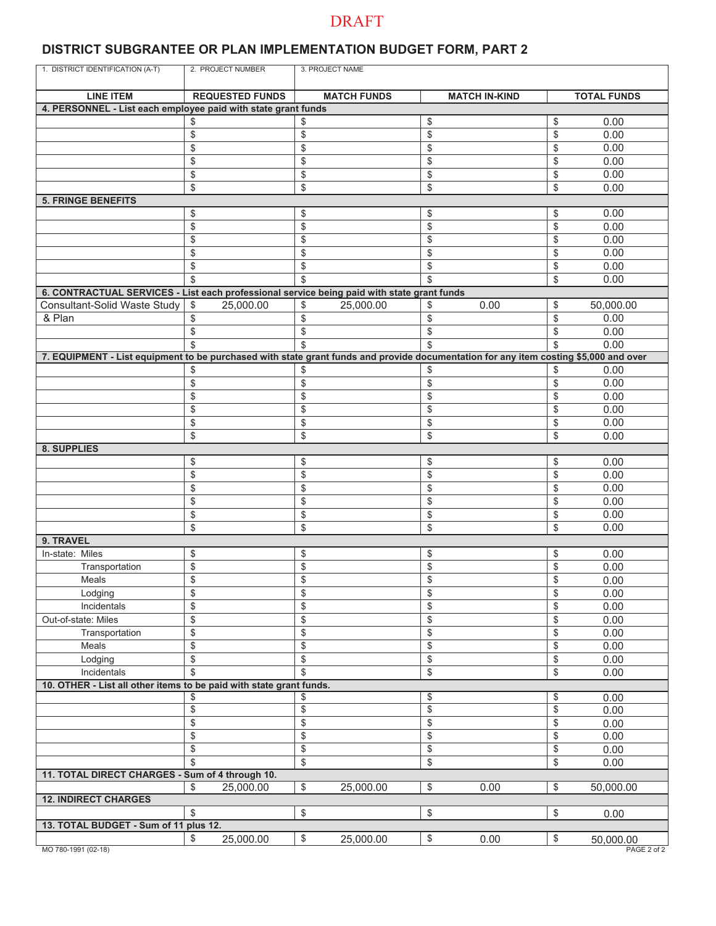### **DISTRICT SUBGRANTEE OR PLAN IMPLEMENTATION BUDGET FORM, PART 2**

| 1. DISTRICT IDENTIFICATION (A-T)                                                                                                     | 2. PROJECT NUMBER      | 3. PROJECT NAME         |                      |                                |
|--------------------------------------------------------------------------------------------------------------------------------------|------------------------|-------------------------|----------------------|--------------------------------|
|                                                                                                                                      |                        |                         |                      |                                |
| <b>LINE ITEM</b>                                                                                                                     | <b>REQUESTED FUNDS</b> | <b>MATCH FUNDS</b>      | <b>MATCH IN-KIND</b> | <b>TOTAL FUNDS</b>             |
| 4. PERSONNEL - List each employee paid with state grant funds                                                                        | \$                     |                         |                      |                                |
|                                                                                                                                      |                        | \$                      | \$                   | 0.00<br>\$                     |
|                                                                                                                                      | \$                     | \$                      | \$                   | \$<br>0.00                     |
|                                                                                                                                      | \$                     | \$                      | \$                   | 0.00<br>\$                     |
|                                                                                                                                      | \$                     | \$                      | \$                   | \$<br>0.00                     |
|                                                                                                                                      | \$                     | \$                      | \$                   | 0.00<br>\$                     |
|                                                                                                                                      | \$                     | \$                      | \$                   | \$<br>0.00                     |
| <b>5. FRINGE BENEFITS</b>                                                                                                            |                        |                         |                      |                                |
|                                                                                                                                      | \$                     | \$                      | \$                   | 0.00<br>\$                     |
|                                                                                                                                      | \$                     | \$                      | \$                   | 0.00<br>\$                     |
|                                                                                                                                      | \$                     | \$                      | \$                   | 0.00<br>\$                     |
|                                                                                                                                      | \$                     | \$                      | \$                   | 0.00<br>\$                     |
|                                                                                                                                      | \$                     | \$                      | \$                   | \$<br>0.00                     |
|                                                                                                                                      | \$                     | \$                      | \$                   | \$<br>0.00                     |
| 6. CONTRACTUAL SERVICES - List each professional service being paid with state grant funds                                           |                        |                         |                      |                                |
| Consultant-Solid Waste Study                                                                                                         | \$<br>25,000.00        | \$<br>25,000.00         | 0.00<br>\$           | \$<br>50,000.00                |
| & Plan                                                                                                                               | \$                     | \$                      | \$                   | 0.00<br>\$                     |
|                                                                                                                                      | \$                     | \$                      | \$                   | 0.00<br>\$                     |
|                                                                                                                                      |                        | \$                      | \$                   | 0.00<br>\$                     |
| 7. EQUIPMENT - List equipment to be purchased with state grant funds and provide documentation for any item costing \$5,000 and over |                        |                         |                      |                                |
|                                                                                                                                      | \$                     | \$                      | \$                   | \$<br>0.00                     |
|                                                                                                                                      | \$                     | \$                      | \$                   | 0.00<br>\$                     |
|                                                                                                                                      | \$                     | \$                      | \$                   | 0.00<br>\$                     |
|                                                                                                                                      | \$                     | \$                      | \$                   | 0.00<br>\$                     |
|                                                                                                                                      | \$                     | \$                      | \$                   | \$<br>0.00                     |
|                                                                                                                                      | \$                     | \$                      | \$                   | 0.00<br>\$                     |
| 8. SUPPLIES                                                                                                                          |                        |                         |                      |                                |
|                                                                                                                                      | \$                     | \$                      | \$                   | 0.00<br>\$                     |
|                                                                                                                                      | \$                     | \$                      | \$                   | \$<br>0.00                     |
|                                                                                                                                      | \$                     | \$                      | \$                   | \$<br>0.00                     |
|                                                                                                                                      | \$                     | \$                      | \$                   | \$<br>0.00                     |
|                                                                                                                                      | \$                     | \$                      | \$                   | \$<br>0.00                     |
|                                                                                                                                      | \$                     | \$                      | \$                   | \$<br>0.00                     |
| 9. TRAVEL                                                                                                                            |                        |                         |                      |                                |
| In-state: Miles                                                                                                                      | \$                     | \$                      | \$                   | \$<br>0.00                     |
| Transportation                                                                                                                       | \$                     | \$                      | \$                   | \$<br>0.00                     |
| Meals                                                                                                                                | \$                     | \$                      | \$                   | \$<br>0.00                     |
| Lodging                                                                                                                              | \$                     | \$                      | \$                   | \$<br>0.00                     |
| Incidentals                                                                                                                          | \$                     | \$                      | \$                   | \$<br>0.00                     |
| Out-of-state: Miles                                                                                                                  | \$                     | \$                      | \$                   | \$<br>0.00                     |
| Transportation                                                                                                                       | \$                     | \$                      | \$                   | \$<br>0.00                     |
| Meals                                                                                                                                | \$                     | \$                      | \$                   | \$<br>0.00                     |
| Lodging                                                                                                                              | \$                     | \$                      | \$                   | \$<br>0.00                     |
| Incidentals                                                                                                                          | \$                     | \$                      | \$                   | \$<br>0.00                     |
| 10. OTHER - List all other items to be paid with state grant funds.                                                                  |                        |                         |                      |                                |
|                                                                                                                                      | \$                     | \$                      | \$                   | 0.00<br>\$                     |
|                                                                                                                                      | \$                     | \$                      | \$                   | \$<br>0.00                     |
|                                                                                                                                      | \$                     | \$                      | \$                   | \$<br>0.00                     |
|                                                                                                                                      | \$                     | \$                      | \$                   | \$<br>0.00                     |
|                                                                                                                                      | \$                     | \$                      | \$                   | \$<br>0.00                     |
|                                                                                                                                      | \$                     | $\mathbb{S}$            | \$                   | \$<br>0.00                     |
| 11. TOTAL DIRECT CHARGES - Sum of 4 through 10.                                                                                      |                        |                         |                      |                                |
|                                                                                                                                      | \$<br>25,000.00        | $\sqrt{2}$<br>25,000.00 | \$<br>0.00           | 50,000.00<br>\$                |
| <b>12. INDIRECT CHARGES</b>                                                                                                          |                        |                         |                      |                                |
|                                                                                                                                      | \$                     | \$                      | \$                   | \$<br>0.00                     |
| 13. TOTAL BUDGET - Sum of 11 plus 12.                                                                                                |                        |                         |                      |                                |
| MO 780-1991 (02-18)                                                                                                                  | \$<br>25,000.00        | \$<br>25,000.00         | \$<br>0.00           | \$<br>50,000.00<br>PAGE 2 of 2 |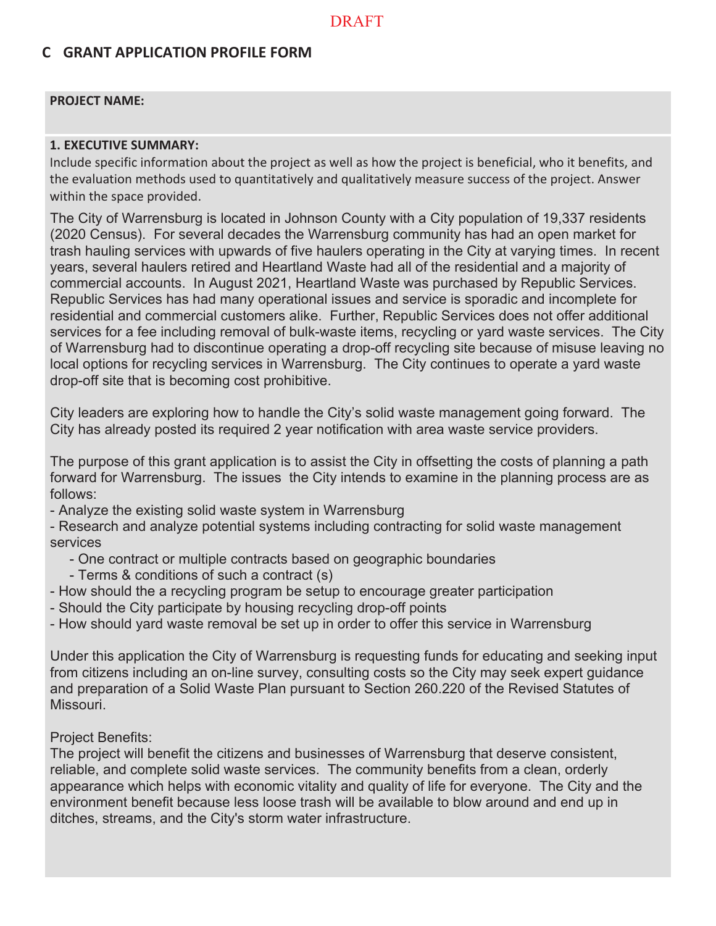### **C GRANT APPLICATION PROFILE FORM**

#### **PROJECT NAME:**

#### **1. EXECUTIVE SUMMARY:**

Include specific information about the project as well as how the project is beneficial, who it benefits, and the evaluation methods used to quantitatively and qualitatively measure success of the project. Answer within the space provided.

The City of Warrensburg is located in Johnson County with a City population of 19,337 residents (2020 Census). For several decades the Warrensburg community has had an open market for trash hauling services with upwards of five haulers operating in the City at varying times. In recent years, several haulers retired and Heartland Waste had all of the residential and a majority of commercial accounts. In August 2021, Heartland Waste was purchased by Republic Services. Republic Services has had many operational issues and service is sporadic and incomplete for residential and commercial customers alike. Further, Republic Services does not offer additional services for a fee including removal of bulk-waste items, recycling or yard waste services. The City of Warrensburg had to discontinue operating a drop-off recycling site because of misuse leaving no local options for recycling services in Warrensburg. The City continues to operate a yard waste drop-off site that is becoming cost prohibitive.

City leaders are exploring how to handle the City's solid waste management going forward. The City has already posted its required 2 year notification with area waste service providers.

The purpose of this grant application is to assist the City in offsetting the costs of planning a path forward for Warrensburg. The issues the City intends to examine in the planning process are as follows:

- Analyze the existing solid waste system in Warrensburg

- Research and analyze potential systems including contracting for solid waste management services

- One contract or multiple contracts based on geographic boundaries
- Terms & conditions of such a contract (s)
- How should the a recycling program be setup to encourage greater participation
- Should the City participate by housing recycling drop-off points
- How should yard waste removal be set up in order to offer this service in Warrensburg

Under this application the City of Warrensburg is requesting funds for educating and seeking input from citizens including an on-line survey, consulting costs so the City may seek expert guidance and preparation of a Solid Waste Plan pursuant to Section 260.220 of the Revised Statutes of Missouri.

### Project Benefits:

The project will benefit the citizens and businesses of Warrensburg that deserve consistent, reliable, and complete solid waste services. The community benefits from a clean, orderly appearance which helps with economic vitality and quality of life for everyone. The City and the environment benefit because less loose trash will be available to blow around and end up in ditches, streams, and the City's storm water infrastructure.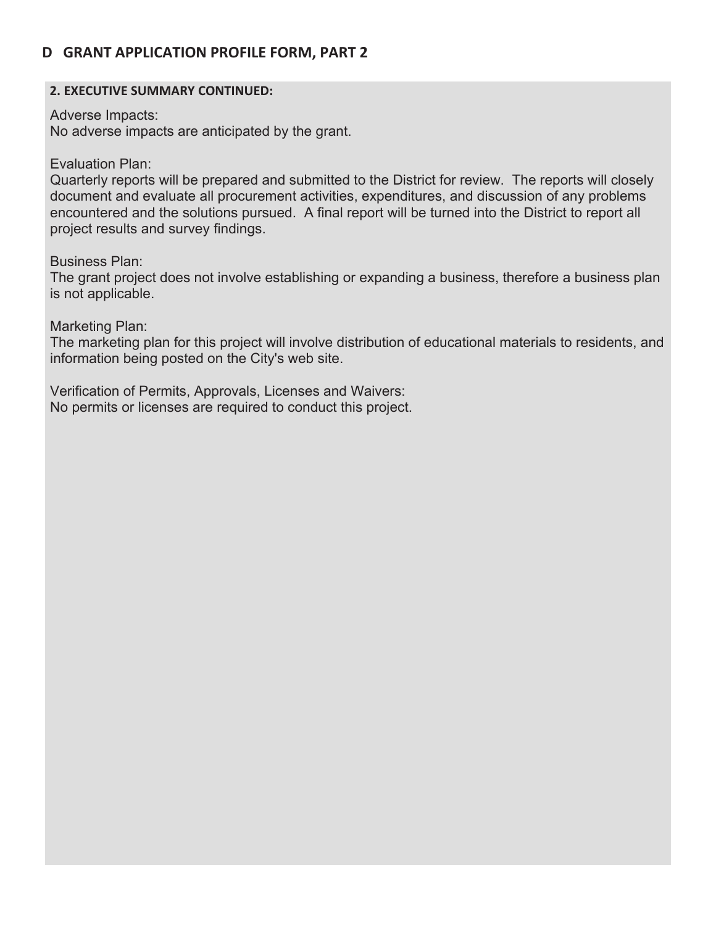### **D GRANT APPLICATION PROFILE FORM, PART 2**

### **2. EXECUTIVE SUMMARY CONTINUED:**

Adverse Impacts:

No adverse impacts are anticipated by the grant.

Evaluation Plan:

Quarterly reports will be prepared and submitted to the District for review. The reports will closely document and evaluate all procurement activities, expenditures, and discussion of any problems encountered and the solutions pursued. A final report will be turned into the District to report all project results and survey findings.

Business Plan:

The grant project does not involve establishing or expanding a business, therefore a business plan is not applicable.

Marketing Plan:

The marketing plan for this project will involve distribution of educational materials to residents, and information being posted on the City's web site.

Verification of Permits, Approvals, Licenses and Waivers: No permits or licenses are required to conduct this project.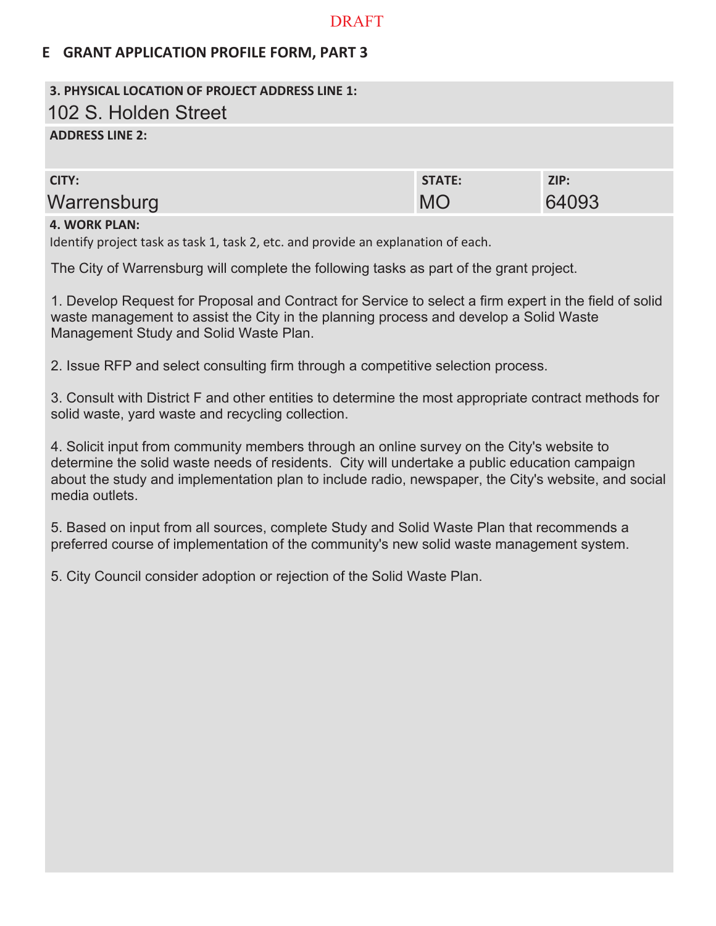### **E GRANT APPLICATION PROFILE FORM, PART 3**

# **3. PHYSICAL LOCATION OF PROJECT ADDRESS LINE 1:** 102 S. Holden Street

### **ADDRESS LINE 2:**

| CITY:       | <b>STATE:</b> | ZIP:  |
|-------------|---------------|-------|
| Warrensburg | <b>MC</b>     | 64093 |
|             |               |       |

### **4. WORK PLAN:**

Identify project task as task 1, task 2, etc. and provide an explanation of each.

The City of Warrensburg will complete the following tasks as part of the grant project.

1. Develop Request for Proposal and Contract for Service to select a firm expert in the field of solid waste management to assist the City in the planning process and develop a Solid Waste Management Study and Solid Waste Plan.

2. Issue RFP and select consulting firm through a competitive selection process.

3. Consult with District F and other entities to determine the most appropriate contract methods for solid waste, yard waste and recycling collection.

4. Solicit input from community members through an online survey on the City's website to determine the solid waste needs of residents. City will undertake a public education campaign about the study and implementation plan to include radio, newspaper, the City's website, and social media outlets

5. Based on input from all sources, complete Study and Solid Waste Plan that recommends a preferred course of implementation of the community's new solid waste management system.

5. City Council consider adoption or rejection of the Solid Waste Plan.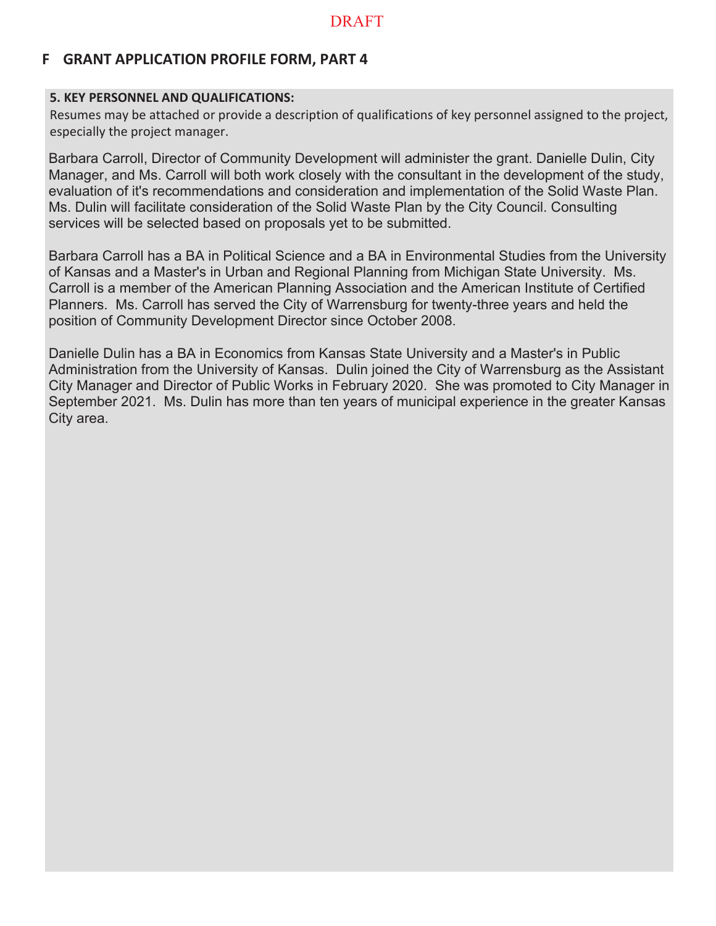### **F GRANT APPLICATION PROFILE FORM, PART 4**

### **5. KEY PERSONNEL AND QUALIFICATIONS:**

Resumes may be attached or provide a description of qualifications of key personnel assigned to the project, especially the project manager.

Barbara Carroll, Director of Community Development will administer the grant. Danielle Dulin, City Manager, and Ms. Carroll will both work closely with the consultant in the development of the study, evaluation of it's recommendations and consideration and implementation of the Solid Waste Plan. Ms. Dulin will facilitate consideration of the Solid Waste Plan by the City Council. Consulting services will be selected based on proposals yet to be submitted.

Barbara Carroll has a BA in Political Science and a BA in Environmental Studies from the University of Kansas and a Master's in Urban and Regional Planning from Michigan State University. Ms. Carroll is a member of the American Planning Association and the American Institute of Certified Planners. Ms. Carroll has served the City of Warrensburg for twenty-three years and held the position of Community Development Director since October 2008.

Danielle Dulin has a BA in Economics from Kansas State University and a Master's in Public Administration from the University of Kansas. Dulin joined the City of Warrensburg as the Assistant City Manager and Director of Public Works in February 2020. She was promoted to City Manager in September 2021. Ms. Dulin has more than ten years of municipal experience in the greater Kansas City area.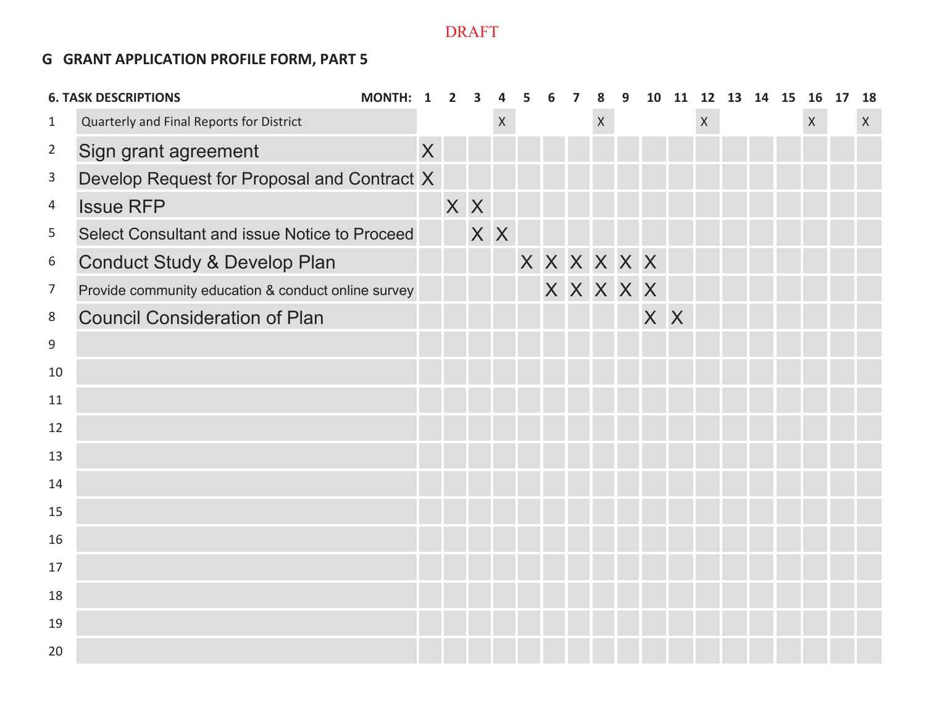### **G GRANT APPLICATION PROFILE FORM, PART 5**

|                | <b>6. TASK DESCRIPTIONS</b>                         | MONTH: 1 |   | $\overline{2}$ | 3   | 4            | 5 | 6           | 7 | 8            | 9         |     | 10 11 12 13 14 15 |  | 16 17        | 18 |
|----------------|-----------------------------------------------------|----------|---|----------------|-----|--------------|---|-------------|---|--------------|-----------|-----|-------------------|--|--------------|----|
| $\mathbf{1}$   | Quarterly and Final Reports for District            |          |   |                |     | $\mathsf{X}$ |   |             |   | $\mathsf{X}$ |           |     | $\mathsf{X}$      |  | $\mathsf{X}$ | X  |
| $\overline{2}$ | Sign grant agreement                                |          | X |                |     |              |   |             |   |              |           |     |                   |  |              |    |
| 3              | Develop Request for Proposal and Contract X         |          |   |                |     |              |   |             |   |              |           |     |                   |  |              |    |
| 4              | <b>Issue RFP</b>                                    |          |   | X X            |     |              |   |             |   |              |           |     |                   |  |              |    |
| 5              | Select Consultant and issue Notice to Proceed       |          |   |                | X X |              |   |             |   |              |           |     |                   |  |              |    |
| 6              | <b>Conduct Study &amp; Develop Plan</b>             |          |   |                |     |              |   | X X X X X X |   |              |           |     |                   |  |              |    |
| $\overline{7}$ | Provide community education & conduct online survey |          |   |                |     |              |   |             |   |              | X X X X X |     |                   |  |              |    |
| 8              | <b>Council Consideration of Plan</b>                |          |   |                |     |              |   |             |   |              |           | X X |                   |  |              |    |
| $9\,$          |                                                     |          |   |                |     |              |   |             |   |              |           |     |                   |  |              |    |
| 10             |                                                     |          |   |                |     |              |   |             |   |              |           |     |                   |  |              |    |
| 11             |                                                     |          |   |                |     |              |   |             |   |              |           |     |                   |  |              |    |
| 12             |                                                     |          |   |                |     |              |   |             |   |              |           |     |                   |  |              |    |
| 13             |                                                     |          |   |                |     |              |   |             |   |              |           |     |                   |  |              |    |
| 14             |                                                     |          |   |                |     |              |   |             |   |              |           |     |                   |  |              |    |
| 15             |                                                     |          |   |                |     |              |   |             |   |              |           |     |                   |  |              |    |
| 16             |                                                     |          |   |                |     |              |   |             |   |              |           |     |                   |  |              |    |
| 17             |                                                     |          |   |                |     |              |   |             |   |              |           |     |                   |  |              |    |
| 18             |                                                     |          |   |                |     |              |   |             |   |              |           |     |                   |  |              |    |
| 19             |                                                     |          |   |                |     |              |   |             |   |              |           |     |                   |  |              |    |
| 20             |                                                     |          |   |                |     |              |   |             |   |              |           |     |                   |  |              |    |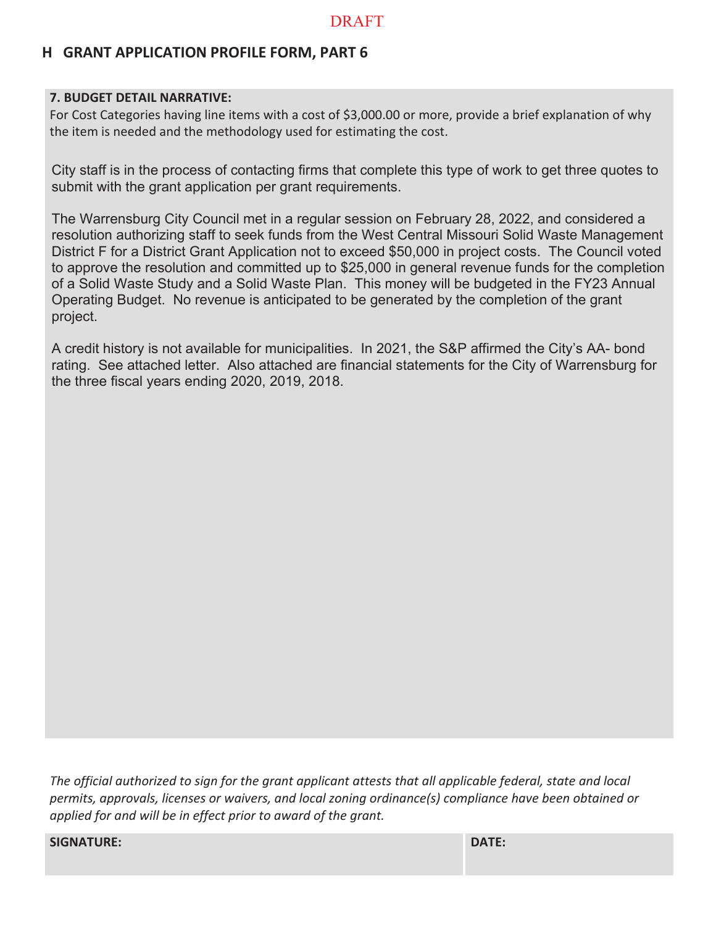# **H GRANT APPLICATION PROFILE FORM, PART 6**

### **7. BUDGET DETAIL NARRATIVE:**

For Cost Categories having line items with a cost of \$3,000.00 or more, provide a brief explanation of why the item is needed and the methodology used for estimating the cost.

City staff is in the process of contacting firms that complete this type of work to get three quotes to submit with the grant application per grant requirements.

The Warrensburg City Council met in a regular session on February 28, 2022, and considered a resolution authorizing staff to seek funds from the West Central Missouri Solid Waste Management District F for a District Grant Application not to exceed \$50,000 in project costs. The Council voted to approve the resolution and committed up to \$25,000 in general revenue funds for the completion of a Solid Waste Study and a Solid Waste Plan. This money will be budgeted in the FY23 Annual Operating Budget. No revenue is anticipated to be generated by the completion of the grant project.

A credit history is not available for municipalities. In 2021, the S&P affirmed the City's AA- bond rating. See attached letter. Also attached are financial statements for the City of Warrensburg for the three fiscal years ending 2020, 2019, 2018.

*The official authorized to sign for the grant applicant attests that all applicable federal, state and local permits, approvals, licenses or waivers, and local zoning ordinance(s) compliance have been obtained or applied for and will be in effect prior to award of the grant.*

**SIGNATURE: DATE:**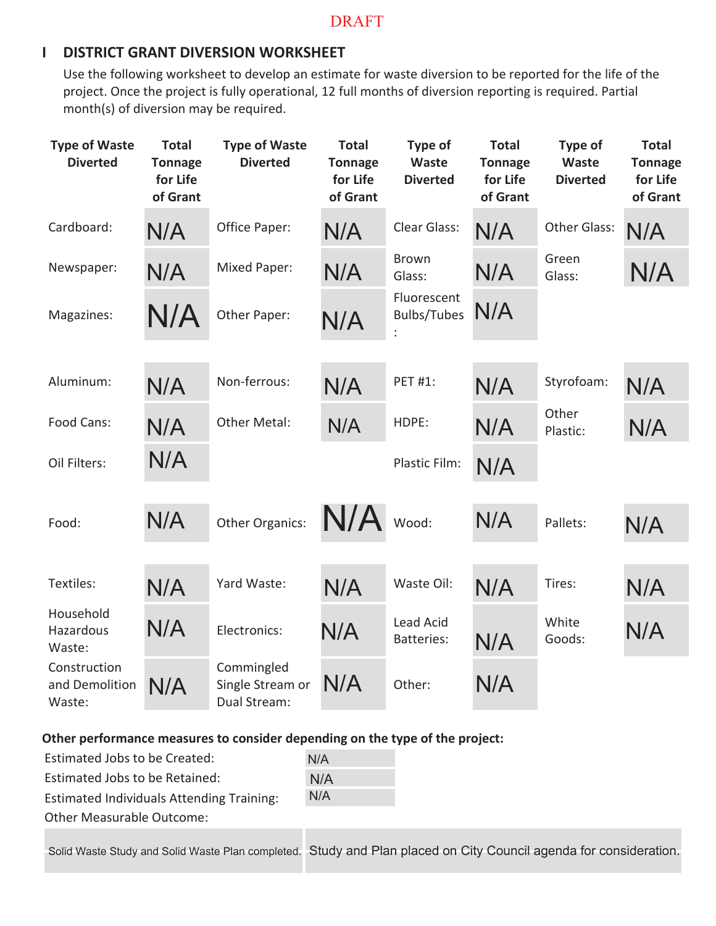### **I DISTRICT GRANT DIVERSION WORKSHEET**

Use the following worksheet to develop an estimate for waste diversion to be reported for the life of the project. Once the project is fully operational, 12 full months of diversion reporting is required. Partial month(s) of diversion may be required.

| <b>Type of Waste</b><br><b>Diverted</b>  | <b>Total</b><br><b>Tonnage</b><br>for Life<br>of Grant | <b>Type of Waste</b><br><b>Diverted</b>        | <b>Total</b><br><b>Tonnage</b><br>for Life<br>of Grant | Type of<br>Waste<br><b>Diverted</b> | <b>Total</b><br><b>Tonnage</b><br>for Life<br>of Grant | Type of<br>Waste<br><b>Diverted</b> | <b>Total</b><br><b>Tonnage</b><br>for Life<br>of Grant |
|------------------------------------------|--------------------------------------------------------|------------------------------------------------|--------------------------------------------------------|-------------------------------------|--------------------------------------------------------|-------------------------------------|--------------------------------------------------------|
| Cardboard:                               | N/A                                                    | Office Paper:                                  | N/A                                                    | Clear Glass:                        | N/A                                                    | <b>Other Glass:</b>                 | N/A                                                    |
| Newspaper:                               | N/A                                                    | <b>Mixed Paper:</b>                            | N/A                                                    | <b>Brown</b><br>Glass:              | N/A                                                    | Green<br>Glass:                     | N/A                                                    |
| Magazines:                               | N/A                                                    | Other Paper:                                   | N/A                                                    | Fluorescent<br><b>Bulbs/Tubes</b>   | N/A                                                    |                                     |                                                        |
|                                          |                                                        |                                                |                                                        |                                     |                                                        |                                     |                                                        |
| Aluminum:                                | N/A                                                    | Non-ferrous:                                   | N/A                                                    | <b>PET #1:</b>                      | N/A                                                    | Styrofoam:                          | N/A                                                    |
| Food Cans:                               | N/A                                                    | Other Metal:                                   | N/A                                                    | HDPE:                               | N/A                                                    | Other<br>Plastic:                   | N/A                                                    |
| Oil Filters:                             | N/A                                                    |                                                |                                                        | Plastic Film:                       | N/A                                                    |                                     |                                                        |
|                                          |                                                        |                                                |                                                        |                                     |                                                        |                                     |                                                        |
| Food:                                    | N/A                                                    | <b>Other Organics:</b>                         | N/A                                                    | Wood:                               | N/A                                                    | Pallets:                            | N/A                                                    |
|                                          |                                                        |                                                |                                                        |                                     |                                                        |                                     |                                                        |
| Textiles:                                | N/A                                                    | Yard Waste:                                    | N/A                                                    | Waste Oil:                          | N/A                                                    | Tires:                              | N/A                                                    |
| Household<br>Hazardous<br>Waste:         | N/A                                                    | Electronics:                                   | N/A                                                    | Lead Acid<br><b>Batteries:</b>      | N/A                                                    | White<br>Goods:                     | N/A                                                    |
| Construction<br>and Demolition<br>Waste: | N/A                                                    | Commingled<br>Single Stream or<br>Dual Stream: | N/A                                                    | Other:                              | N/A                                                    |                                     |                                                        |

### **Other performance measures to consider depending on the type of the project:**

| Estimated Jobs to be Created:                    | N/A |
|--------------------------------------------------|-----|
| Estimated Jobs to be Retained:                   | N/A |
| <b>Estimated Individuals Attending Training:</b> | N/A |
| <b>Other Measurable Outcome:</b>                 |     |
|                                                  |     |

Solid Waste Study and Solid Waste Plan completed. Study and Plan placed on City Council agenda for consideration.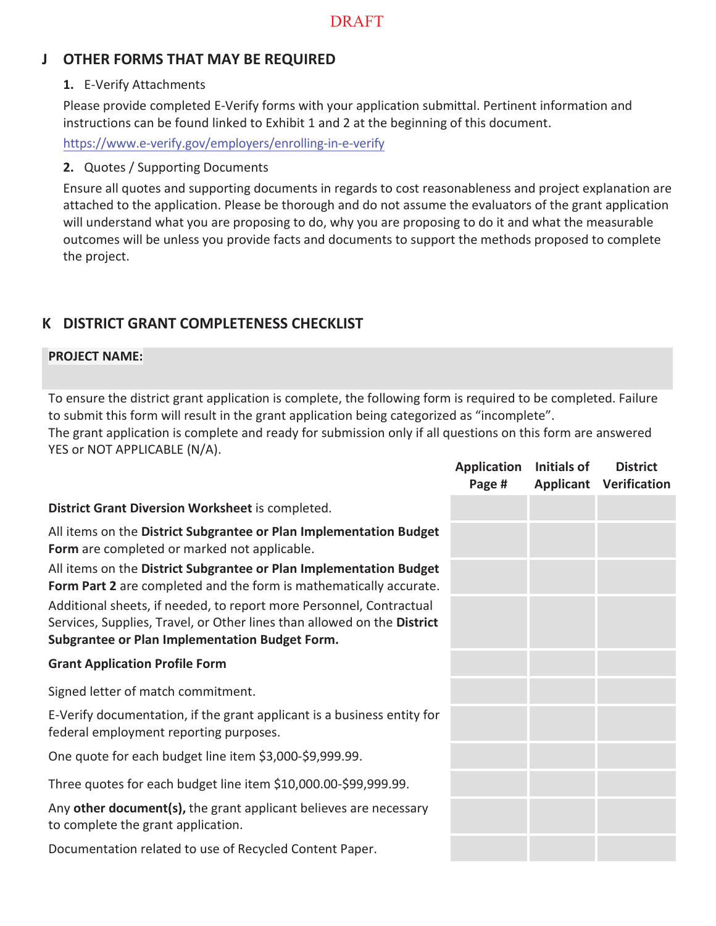# **J OTHER FORMS THAT MAY BE REQUIRED**

### **1.** E-Verify Attachments

Please provide completed E-Verify forms with your application submittal. Pertinent information and instructions can be found linked to Exhibit 1 and 2 at the beginning of this document.

https://www.e-verify.gov/employers/enrolling-in-e-verify

### **2.** Quotes / Supporting Documents

Ensure all quotes and supporting documents in regards to cost reasonableness and project explanation are attached to the application. Please be thorough and do not assume the evaluators of the grant application will understand what you are proposing to do, why you are proposing to do it and what the measurable outcomes will be unless you provide facts and documents to support the methods proposed to complete the project.

# **K DISTRICT GRANT COMPLETENESS CHECKLIST**

### **PROJECT NAME:**

To ensure the district grant application is complete, the following form is required to be completed. Failure to submit this form will result in the grant application being categorized as "incomplete".

The grant application is complete and ready for submission only if all questions on this form are answered YES or NOT APPLICABLE (N/A).

|                                                                                                                                                                                                         | <b>Application</b><br>Page # | Initials of | <b>District</b><br><b>Applicant Verification</b> |
|---------------------------------------------------------------------------------------------------------------------------------------------------------------------------------------------------------|------------------------------|-------------|--------------------------------------------------|
| District Grant Diversion Worksheet is completed.                                                                                                                                                        |                              |             |                                                  |
| All items on the District Subgrantee or Plan Implementation Budget<br>Form are completed or marked not applicable.                                                                                      |                              |             |                                                  |
| All items on the District Subgrantee or Plan Implementation Budget<br>Form Part 2 are completed and the form is mathematically accurate.                                                                |                              |             |                                                  |
| Additional sheets, if needed, to report more Personnel, Contractual<br>Services, Supplies, Travel, or Other lines than allowed on the District<br><b>Subgrantee or Plan Implementation Budget Form.</b> |                              |             |                                                  |
| <b>Grant Application Profile Form</b>                                                                                                                                                                   |                              |             |                                                  |
| Signed letter of match commitment.                                                                                                                                                                      |                              |             |                                                  |
| E-Verify documentation, if the grant applicant is a business entity for<br>federal employment reporting purposes.                                                                                       |                              |             |                                                  |
| One quote for each budget line item \$3,000-\$9,999.99.                                                                                                                                                 |                              |             |                                                  |
| Three quotes for each budget line item \$10,000.00-\$99,999.99.                                                                                                                                         |                              |             |                                                  |
| Any other document(s), the grant applicant believes are necessary<br>to complete the grant application.                                                                                                 |                              |             |                                                  |
| Documentation related to use of Recycled Content Paper.                                                                                                                                                 |                              |             |                                                  |